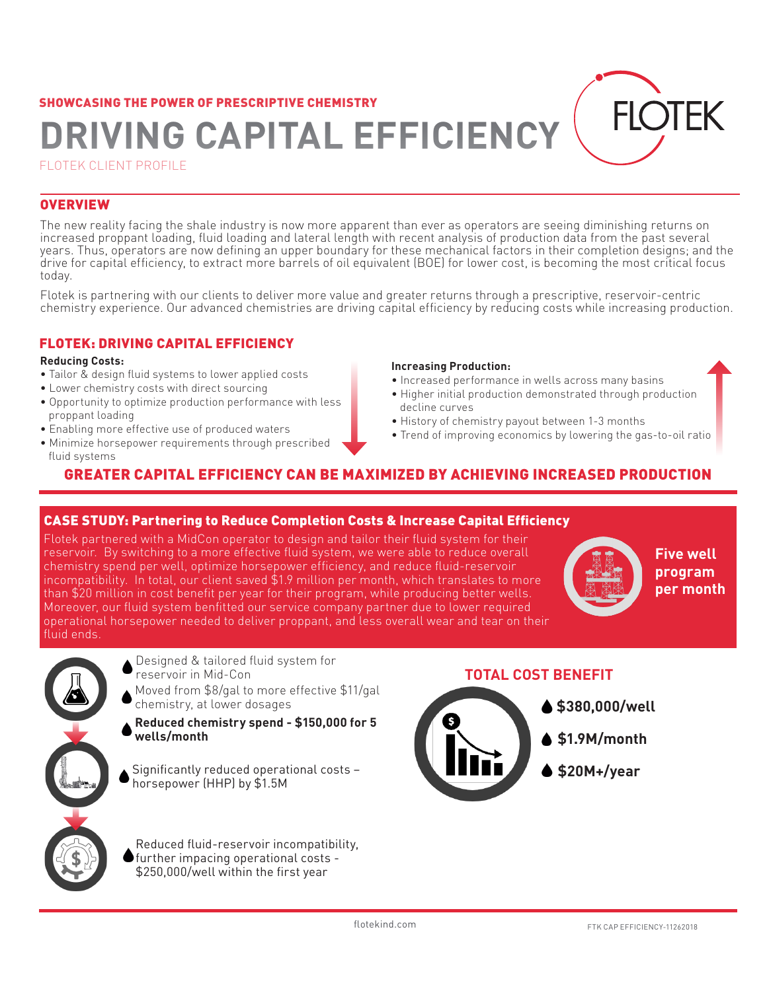# SHOWCASING THE POWER OF PRESCRIPTIVE CHEMISTRY **DRIVING CAPITAL EFFICIENCY**

FLOTEK CLIENT PROFILE

#### **OVERVIEW**

The new reality facing the shale industry is now more apparent than ever as operators are seeing diminishing returns on increased proppant loading, fluid loading and lateral length with recent analysis of production data from the past several years. Thus, operators are now defining an upper boundary for these mechanical factors in their completion designs; and the drive for capital efficiency, to extract more barrels of oil equivalent (BOE) for lower cost, is becoming the most critical focus today.

Flotek is partnering with our clients to deliver more value and greater returns through a prescriptive, reservoir-centric chemistry experience. Our advanced chemistries are driving capital efficiency by reducing costs while increasing production.

#### FLOTEK: DRIVING CAPITAL EFFICIENCY

#### **Reducing Costs:**

- Tailor & design fluid systems to lower applied costs
- Lower chemistry costs with direct sourcing
- Opportunity to optimize production performance with less proppant loading
- Enabling more effective use of produced waters
- Minimize horsepower requirements through prescribed fluid systems

#### **Increasing Production:**

- Increased performance in wells across many basins
- Higher initial production demonstrated through production decline curves
- History of chemistry payout between 1-3 months
- Trend of improving economics by lowering the gas-to-oil ratio

### GREATER CAPITAL EFFICIENCY CAN BE MAXIMIZED BY ACHIEVING INCREASED PRODUCTION

#### CASE STUDY: Partnering to Reduce Completion Costs & Increase Capital Efficiency

Flotek partnered with a MidCon operator to design and tailor their fluid system for their reservoir. By switching to a more effective fluid system, we were able to reduce overall chemistry spend per well, optimize horsepower efficiency, and reduce fluid-reservoir incompatibility. In total, our client saved \$1.9 million per month, which translates to more than \$20 million in cost benefit per year for their program, while producing better wells. Moreover, our fluid system benfitted our service company partner due to lower required operational horsepower needed to deliver proppant, and less overall wear and tear on their fluid ends.



**Five well program per month**

 $H$   $\bigcap$   $FK$ 



Designed & tailored fluid system for reservoir in Mid-Con

Moved from \$8/gal to more effective \$11/gal chemistry, at lower dosages

**Reduced chemistry spend - \$150,000 for 5 wells/month**

Significantly reduced operational costs – horsepower (HHP) by \$1.5M

Reduced fluid-reservoir incompatibility, further impacing operational costs - \$250,000/well within the first year

#### **TOTAL COST BENEFIT**